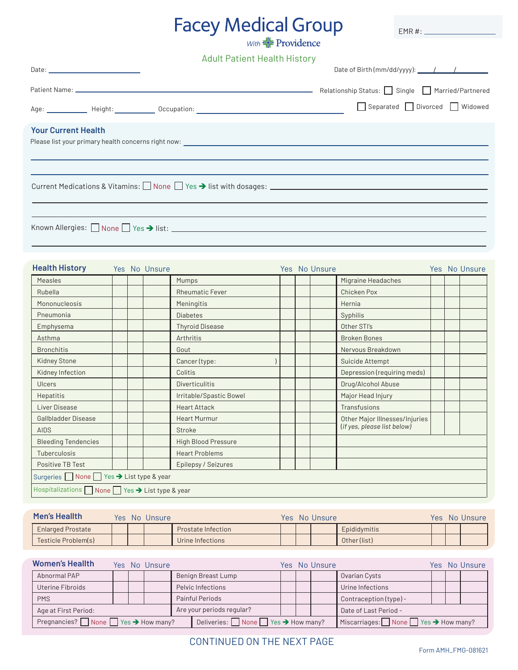## Facey Medical Group

EMR #:

Adult Patient Health History

|                                   | Separated Divorced Widowed |
|-----------------------------------|----------------------------|
| <b>Your Current Health</b>        |                            |
|                                   |                            |
| Known Allergies: None Yes > list: |                            |

| <b>Health History</b>                            |  | Yes No Unsure |                            |  | Yes No Unsure |                                |  | Yes No Unsure |
|--------------------------------------------------|--|---------------|----------------------------|--|---------------|--------------------------------|--|---------------|
| <b>Measles</b>                                   |  |               | Mumps                      |  |               | Migraine Headaches             |  |               |
| Rubella                                          |  |               | <b>Rheumatic Fever</b>     |  |               | <b>Chicken Pox</b>             |  |               |
| Mononucleosis                                    |  |               | Meningitis                 |  |               | Hernia                         |  |               |
| Pneumonia                                        |  |               | <b>Diabetes</b>            |  |               | Syphilis                       |  |               |
| Emphysema                                        |  |               | <b>Thyroid Disease</b>     |  |               | Other STI's                    |  |               |
| Asthma                                           |  |               | Arthritis                  |  |               | <b>Broken Bones</b>            |  |               |
| <b>Bronchitis</b>                                |  |               | Gout                       |  |               | Nervous Breakdown              |  |               |
| <b>Kidney Stone</b>                              |  |               | Cancer (type:              |  |               | Suicide Attempt                |  |               |
| Kidney Infection                                 |  |               | Colitis                    |  |               | Depression (requiring meds)    |  |               |
| Ulcers                                           |  |               | <b>Diverticulitis</b>      |  |               | Drug/Alcohol Abuse             |  |               |
| Hepatitis                                        |  |               | Irritable/Spastic Bowel    |  |               | Major Head Injury              |  |               |
| Liver Disease                                    |  |               | <b>Heart Attack</b>        |  |               | Transfusions                   |  |               |
| <b>Gallbladder Disease</b>                       |  |               | <b>Heart Murmur</b>        |  |               | Other Major Illnesses/Injuries |  |               |
| <b>AIDS</b>                                      |  |               | Stroke                     |  |               | (if yes, please list below)    |  |               |
| <b>Bleeding Tendencies</b>                       |  |               | <b>High Blood Pressure</b> |  |               |                                |  |               |
| Tuberculosis                                     |  |               | <b>Heart Problems</b>      |  |               |                                |  |               |
| Positive TB Test                                 |  |               | Epilepsy / Seizures        |  |               |                                |  |               |
| Surgeries None Yes → List type & year            |  |               |                            |  |               |                                |  |               |
| Hospitalizations ■ None ■ Yes → List type & year |  |               |                            |  |               |                                |  |               |

| Men's Heallth            |  | Yes No Unsure |                    |  | Yes No Unsure |              |  | Yes No Unsure |
|--------------------------|--|---------------|--------------------|--|---------------|--------------|--|---------------|
| <b>Enlarged Prostate</b> |  |               | Prostate Infection |  |               | Epididymitis |  |               |
| Testicle Problem(s)      |  |               | Urine Infections   |  |               | Other (list) |  |               |

| <b>Women's Heallth</b>                                      |  |  | Yes No Unsure                                              |  |                    |                                                              |  | Yes No Unsure         |                        |  | Yes No Unsure |
|-------------------------------------------------------------|--|--|------------------------------------------------------------|--|--------------------|--------------------------------------------------------------|--|-----------------------|------------------------|--|---------------|
| Abnormal PAP                                                |  |  |                                                            |  | Benign Breast Lump |                                                              |  |                       | Ovarian Cysts          |  |               |
| Uterine Fibroids                                            |  |  |                                                            |  | Pelvic Infections  |                                                              |  |                       | Urine Infections       |  |               |
| <b>PMS</b>                                                  |  |  |                                                            |  | Painful Periods    |                                                              |  |                       | Contraception (type) - |  |               |
| Are your periods regular?<br>Age at First Period:           |  |  |                                                            |  |                    |                                                              |  | Date of Last Period - |                        |  |               |
| Pregnancies? $\Box$ None $\Box$ Yes $\rightarrow$ How many? |  |  | Deliveries: $\Box$ None $\Box$ Yes $\rightarrow$ How many? |  |                    | Miscarriages: $\Box$ None $\Box$ Yes $\rightarrow$ How many? |  |                       |                        |  |               |

## CONTINUED ON THE NEXT PAGE